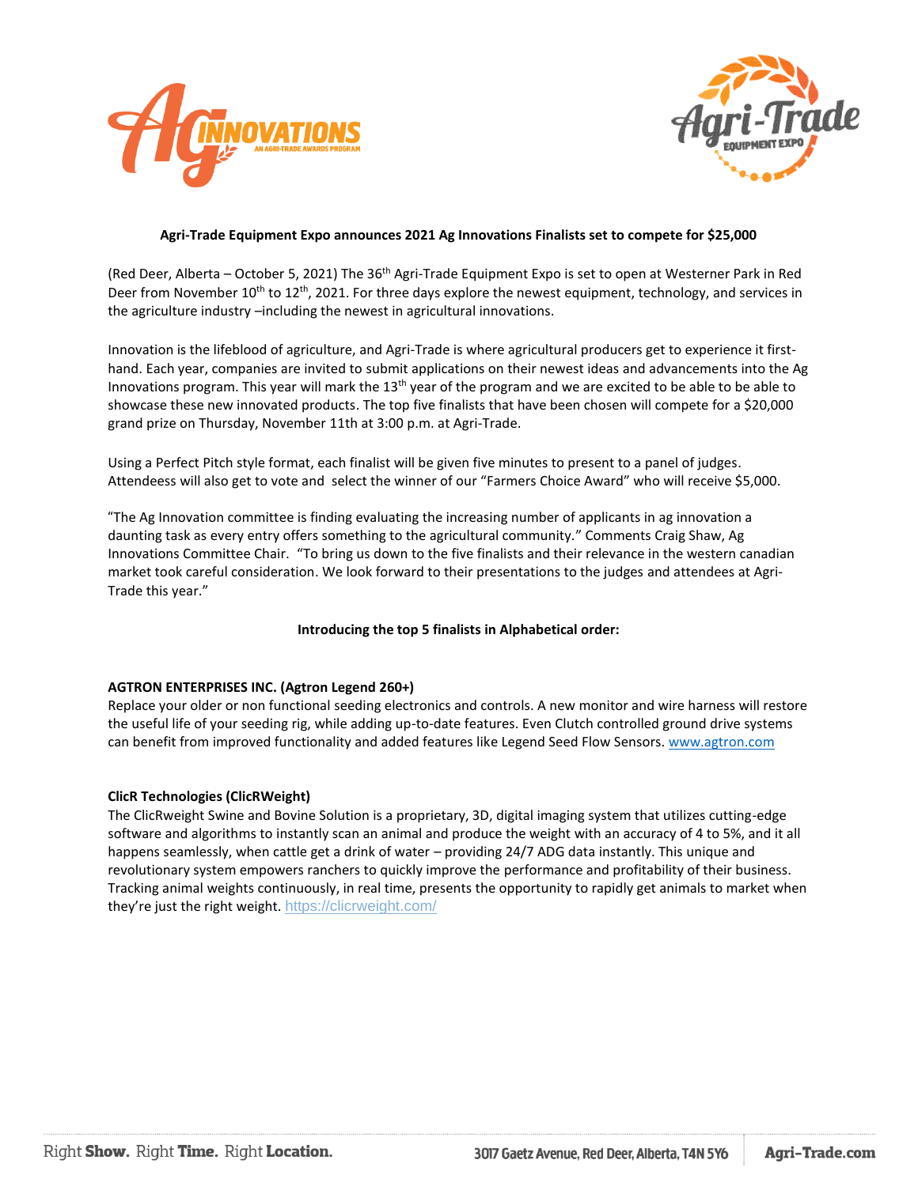



# **Agri-Trade Equipment Expo announces 2021 Ag Innovations Finalists set to compete for \$25,000**

(Red Deer, Alberta – October 5, 2021) The 36<sup>th</sup> Agri-Trade Equipment Expo is set to open at Westerner Park in Red Deer from November  $10^{th}$  to  $12^{th}$ , 2021. For three days explore the newest equipment, technology, and services in the agriculture industry –including the newest in agricultural innovations.

Innovation is the lifeblood of agriculture, and Agri-Trade is where agricultural producers get to experience it firsthand. Each year, companies are invited to submit applications on their newest ideas and advancements into the Ag Innovations program. This year will mark the 13<sup>th</sup> year of the program and we are excited to be able to be able to showcase these new innovated products. The top five finalists that have been chosen will compete for a \$20,000 grand prize on Thursday, November 11th at 3:00 p.m. at Agri-Trade.

Using a Perfect Pitch style format, each finalist will be given five minutes to present to a panel of judges. Attendeess will also get to vote and select the winner of our "Farmers Choice Award" who will receive \$5,000.

"The Ag Innovation committee is finding evaluating the increasing number of applicants in ag innovation a daunting task as every entry offers something to the agricultural community." Comments Craig Shaw, Ag Innovations Committee Chair. "To bring us down to the five finalists and their relevance in the western canadian market took careful consideration. We look forward to their presentations to the judges and attendees at Agri-Trade this year."

# **Introducing the top 5 finalists in Alphabetical order:**

# **AGTRON ENTERPRISES INC. (Agtron Legend 260+)**

Replace your older or non functional seeding electronics and controls. A new monitor and wire harness will restore the useful life of your seeding rig, while adding up-to-date features. Even Clutch controlled ground drive systems can benefit from improved functionality and added features like Legend Seed Flow Sensors. [www.agtron.com](http://www.agtron.com/)

# **ClicR Technologies (ClicRWeight)**

The ClicRweight Swine and Bovine Solution is a proprietary, 3D, digital imaging system that utilizes cutting-edge software and algorithms to instantly scan an animal and produce the weight with an accuracy of 4 to 5%, and it all happens seamlessly, when cattle get a drink of water – providing 24/7 ADG data instantly. This unique and revolutionary system empowers ranchers to quickly improve the performance and profitability of their business. Tracking animal weights continuously, in real time, presents the opportunity to rapidly get animals to market when they're just the right weight. <https://clicrweight.com/>